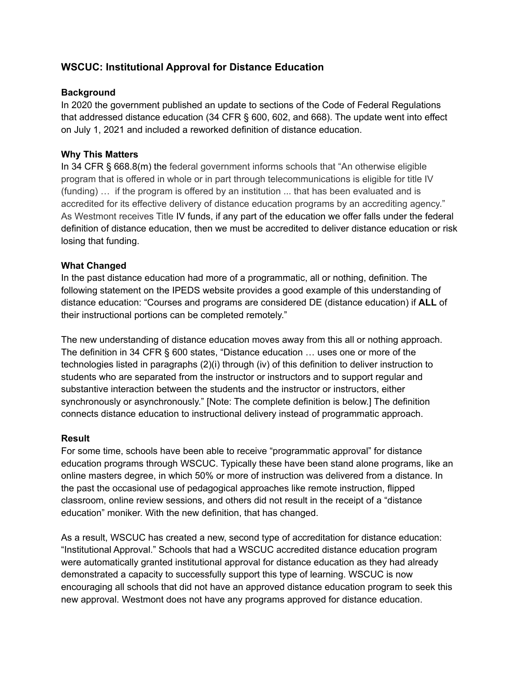# **WSCUC: Institutional Approval for Distance Education**

### **Background**

In 2020 the government published an update to sections of the Code of Federal Regulations that addressed distance education (34 CFR § 600, 602, and 668). The update went into effect on July 1, 2021 and included a reworked definition of distance education.

## **Why This Matters**

In 34 CFR § 668.8(m) the federal government informs schools that "An otherwise eligible program that is offered in whole or in part through telecommunications is eligible for title IV (funding) … if the program is offered by an institution ... that has been evaluated and is accredited for its effective delivery of distance education programs by an accrediting agency." As Westmont receives Title IV funds, if any part of the education we offer falls under the federal definition of distance education, then we must be accredited to deliver distance education or risk losing that funding.

### **What Changed**

In the past distance education had more of a programmatic, all or nothing, definition. The following statement on the IPEDS website provides a good example of this understanding of distance education: "Courses and programs are considered DE (distance education) if **ALL** of their instructional portions can be completed remotely."

The new understanding of distance education moves away from this all or nothing approach. The definition in 34 CFR § 600 states, "Distance education … uses one or more of the technologies listed in paragraphs (2)(i) through (iv) of this definition to deliver instruction to students who are separated from the instructor or instructors and to support regular and substantive interaction between the students and the instructor or instructors, either synchronously or asynchronously." [Note: The complete definition is below.] The definition connects distance education to instructional delivery instead of programmatic approach.

#### **Result**

For some time, schools have been able to receive "programmatic approval" for distance education programs through WSCUC. Typically these have been stand alone programs, like an online masters degree, in which 50% or more of instruction was delivered from a distance. In the past the occasional use of pedagogical approaches like remote instruction, flipped classroom, online review sessions, and others did not result in the receipt of a "distance education" moniker. With the new definition, that has changed.

As a result, WSCUC has created a new, second type of accreditation for distance education: "Institutional Approval." Schools that had a WSCUC accredited distance education program were automatically granted institutional approval for distance education as they had already demonstrated a capacity to successfully support this type of learning. WSCUC is now encouraging all schools that did not have an approved distance education program to seek this new approval. Westmont does not have any programs approved for distance education.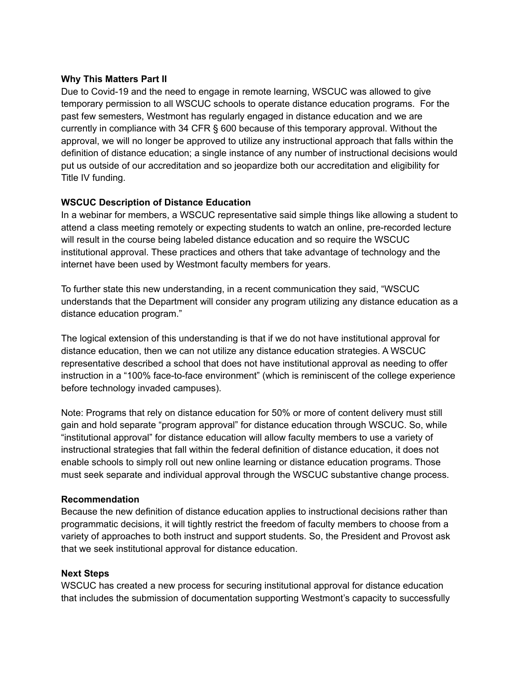#### **Why This Matters Part II**

Due to Covid-19 and the need to engage in remote learning, WSCUC was allowed to give temporary permission to all WSCUC schools to operate distance education programs. For the past few semesters, Westmont has regularly engaged in distance education and we are currently in compliance with 34 CFR § 600 because of this temporary approval. Without the approval, we will no longer be approved to utilize any instructional approach that falls within the definition of distance education; a single instance of any number of instructional decisions would put us outside of our accreditation and so jeopardize both our accreditation and eligibility for Title IV funding.

# **WSCUC Description of Distance Education**

In a webinar for members, a WSCUC representative said simple things like allowing a student to attend a class meeting remotely or expecting students to watch an online, pre-recorded lecture will result in the course being labeled distance education and so require the WSCUC institutional approval. These practices and others that take advantage of technology and the internet have been used by Westmont faculty members for years.

To further state this new understanding, in a recent communication they said, "WSCUC understands that the Department will consider any program utilizing any distance education as a distance education program."

The logical extension of this understanding is that if we do not have institutional approval for distance education, then we can not utilize any distance education strategies. A WSCUC representative described a school that does not have institutional approval as needing to offer instruction in a "100% face-to-face environment" (which is reminiscent of the college experience before technology invaded campuses).

Note: Programs that rely on distance education for 50% or more of content delivery must still gain and hold separate "program approval" for distance education through WSCUC. So, while "institutional approval" for distance education will allow faculty members to use a variety of instructional strategies that fall within the federal definition of distance education, it does not enable schools to simply roll out new online learning or distance education programs. Those must seek separate and individual approval through the WSCUC substantive change process.

#### **Recommendation**

Because the new definition of distance education applies to instructional decisions rather than programmatic decisions, it will tightly restrict the freedom of faculty members to choose from a variety of approaches to both instruct and support students. So, the President and Provost ask that we seek institutional approval for distance education.

# **Next Steps**

WSCUC has created a new process for securing institutional approval for distance education that includes the submission of documentation supporting Westmont's capacity to successfully